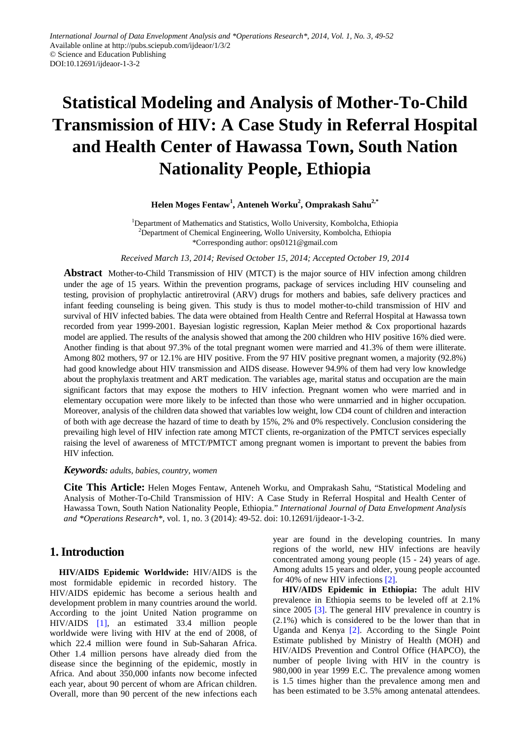# **Statistical Modeling and Analysis of Mother-To-Child Transmission of HIV: A Case Study in Referral Hospital and Health Center of Hawassa Town, South Nation Nationality People, Ethiopia**

### $\mu$ Helen Moges Fentaw<sup>1</sup>, Anteneh Worku<sup>2</sup>, Omprakash Sahu<sup>2,\*</sup>

<sup>1</sup>Department of Mathematics and Statistics, Wollo University, Kombolcha, Ethiopia <sup>2</sup>Department of Chemical Engineering, Wollo University, Kombolcha, Ethiopia \*Corresponding author: ops0121@gmail.com

*Received March 13, 2014; Revised October 15, 2014; Accepted October 19, 2014*

**Abstract** Mother-to-Child Transmission of HIV (MTCT) is the major source of HIV infection among children under the age of 15 years. Within the prevention programs, package of services including HIV counseling and testing, provision of prophylactic antiretroviral (ARV) drugs for mothers and babies, safe delivery practices and infant feeding counseling is being given. This study is thus to model mother-to-child transmission of HIV and survival of HIV infected babies. The data were obtained from Health Centre and Referral Hospital at Hawassa town recorded from year 1999-2001. Bayesian logistic regression, Kaplan Meier method & Cox proportional hazards model are applied. The results of the analysis showed that among the 200 children who HIV positive 16% died were. Another finding is that about 97.3% of the total pregnant women were married and 41.3% of them were illiterate. Among 802 mothers, 97 or 12.1% are HIV positive. From the 97 HIV positive pregnant women, a majority (92.8%) had good knowledge about HIV transmission and AIDS disease. However 94.9% of them had very low knowledge about the prophylaxis treatment and ART medication. The variables age, marital status and occupation are the main significant factors that may expose the mothers to HIV infection. Pregnant women who were married and in elementary occupation were more likely to be infected than those who were unmarried and in higher occupation. Moreover, analysis of the children data showed that variables low weight, low CD4 count of children and interaction of both with age decrease the hazard of time to death by 15%, 2% and 0% respectively. Conclusion considering the prevailing high level of HIV infection rate among MTCT clients, re-organization of the PMTCT services especially raising the level of awareness of MTCT/PMTCT among pregnant women is important to prevent the babies from HIV infection.

#### *Keywords: adults, babies, country, women*

**Cite This Article:** Helen Moges Fentaw, Anteneh Worku, and Omprakash Sahu, "Statistical Modeling and Analysis of Mother-To-Child Transmission of HIV: A Case Study in Referral Hospital and Health Center of Hawassa Town, South Nation Nationality People, Ethiopia." *International Journal of Data Envelopment Analysis and \*Operations Research\**, vol. 1, no. 3 (2014): 49-52. doi: 10.12691/ijdeaor-1-3-2.

# **1. Introduction**

**HIV/AIDS Epidemic Worldwide:** HIV/AIDS is the most formidable epidemic in recorded history. The HIV/AIDS epidemic has become a serious health and development problem in many countries around the world. According to the joint United Nation programme on HIV/AIDS [\[1\],](#page-2-0) an estimated 33.4 million people worldwide were living with HIV at the end of 2008, of which 22.4 million were found in Sub-Saharan Africa. Other 1.4 million persons have already died from the disease since the beginning of the epidemic, mostly in Africa. And about 350,000 infants now become infected each year, about 90 percent of whom are African children. Overall, more than 90 percent of the new infections each

year are found in the developing countries. In many regions of the world, new HIV infections are heavily concentrated among young people (15 - 24) years of age. Among adults 15 years and older, young people accounted for 40% of new HIV infections [\[2\].](#page-2-1)

**HIV/AIDS Epidemic in Ethiopia:** The adult HIV prevalence in Ethiopia seems to be leveled off at 2.1% since 2005 [\[3\].](#page-2-2) The general HIV prevalence in country is (2.1%) which is considered to be the lower than that in Uganda and Kenya [\[2\].](#page-2-1) According to the Single Point Estimate published by Ministry of Health (MOH) and HIV/AIDS Prevention and Control Office (HAPCO), the number of people living with HIV in the country is 980,000 in year 1999 E.C. The prevalence among women is 1.5 times higher than the prevalence among men and has been estimated to be 3.5% among antenatal attendees.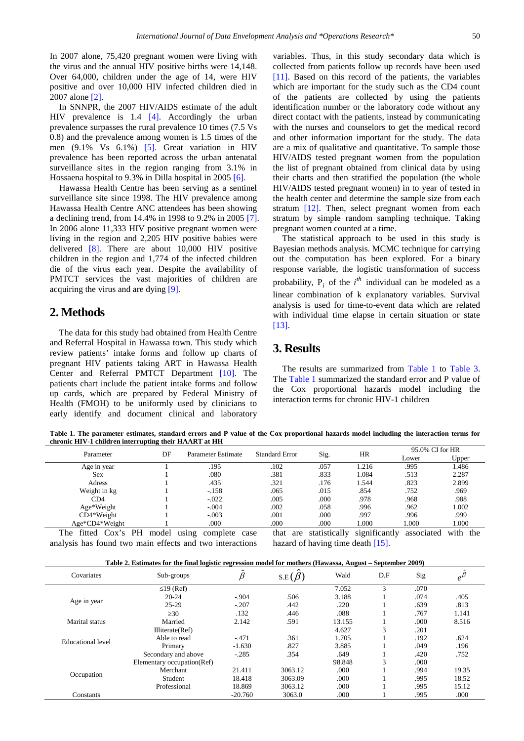In 2007 alone, 75,420 pregnant women were living with the virus and the annual HIV positive births were 14,148. Over 64,000, children under the age of 14, were HIV positive and over 10,000 HIV infected children died in 2007 alone [\[2\].](#page-2-1)

In SNNPR, the 2007 HIV/AIDS estimate of the adult HIV prevalence is 1.4 [\[4\].](#page-2-3) Accordingly the urban prevalence surpasses the rural prevalence 10 times (7.5 Vs 0.8) and the prevalence among women is 1.5 times of the men (9.1% Vs 6.1%) [\[5\].](#page-2-4) Great variation in HIV prevalence has been reported across the urban antenatal surveillance sites in the region ranging from 3.1% in Hossaena hospital to 9.3% in Dilla hospital in 2005 [\[6\].](#page-2-5)

Hawassa Health Centre has been serving as a sentinel surveillance site since 1998. The HIV prevalence among Hawassa Health Centre ANC attendees has been showing a declining trend, from 14.4% in 1998 to 9.2% in 2005 [\[7\].](#page-2-6) In 2006 alone 11,333 HIV positive pregnant women were living in the region and 2,205 HIV positive babies were delivered [\[8\].](#page-2-7) There are about 10,000 HIV positive children in the region and 1,774 of the infected children die of the virus each year. Despite the availability of PMTCT services the vast majorities of children are acquiring the virus and are dying [\[9\].](#page-2-8)

## **2. Methods**

The data for this study had obtained from Health Centre and Referral Hospital in Hawassa town. This study which review patients' intake forms and follow up charts of pregnant HIV patients taking ART in Hawassa Health Center and Referral PMTCT Department [\[10\].](#page-2-9) The patients chart include the patient intake forms and follow up cards, which are prepared by Federal Ministry of Health (FMOH) to be uniformly used by clinicians to early identify and document clinical and laboratory variables. Thus, in this study secondary data which is collected from patients follow up records have been used [\[11\].](#page-2-10) Based on this record of the patients, the variables which are important for the study such as the CD4 count of the patients are collected by using the patients identification number or the laboratory code without any direct contact with the patients, instead by communicating with the nurses and counselors to get the medical record and other information important for the study. The data are a mix of qualitative and quantitative. To sample those HIV/AIDS tested pregnant women from the population the list of pregnant obtained from clinical data by using their charts and then stratified the population (the whole HIV/AIDS tested pregnant women) in to year of tested in the health center and determine the sample size from each stratum [\[12\].](#page-2-11) Then, select pregnant women from each stratum by simple random sampling technique. Taking pregnant women counted at a time.

The statistical approach to be used in this study is Bayesian methods analysis. MCMC technique for carrying out the computation has been explored. For a binary response variable, the logistic transformation of success probability,  $P_i$  of the  $i^{th}$  individual can be modeled as a linear combination of k explanatory variables. Survival analysis is used for time-to-event data which are related with individual time elapse in certain situation or state [\[13\].](#page-3-0)

### **3. Results**

The results are summarized from [Table 1](#page-1-0) to [Table 3.](#page-2-12) The [Table 1](#page-1-0) summarized the standard error and P value of the Cox proportional hazards model including the interaction terms for chronic HIV-1 children

**Table 1. The parameter estimates, standard errors and P value of the Cox proportional hazards model including the interaction terms for chronic HIV-1 children interrupting their HAART at HH**

<span id="page-1-0"></span>

| Parameter      | DF | Parameter Estimate | <b>Standard Error</b> | Sig. | HR    | 95.0% CI for HR |       |
|----------------|----|--------------------|-----------------------|------|-------|-----------------|-------|
|                |    |                    |                       |      |       | Lower           | Upper |
| Age in year    |    | .195               | .102                  | .057 | 1.216 | .995            | 1.486 |
| Sex            |    | .080               | .381                  | .833 | 1.084 | .513            | 2.287 |
| Adress         |    | .435               | .321                  | .176 | 1.544 | .823            | 2.899 |
| Weight in kg   |    | $-.158$            | .065                  | .015 | .854  | .752            | .969  |
| CD4            |    | $-.022$            | .005                  | .000 | .978  | .968            | .988  |
| Age*Weight     |    | $-.004$            | .002                  | .058 | .996  | .962            | 1.002 |
| $CD4*Weight$   |    | $-.003$            | .001                  | .000 | .997  | .996            | .999  |
| Age*CD4*Weight |    | .000               | .000                  | .000 | .000  | 1.000           | 1.000 |

The fitted Cox's PH model using complete case analysis has found two main effects and two interactions

that are statistically significantly associated with the hazard of having time death [\[15\].](#page-3-1)

| Covariates        | $\bullet$<br>Sub-groups    | $\overline{\phantom{a}}$<br>Ŕ | $\sim$<br>$S.E(\beta)$ | -<br>Wald | D.F | Sig  |       |
|-------------------|----------------------------|-------------------------------|------------------------|-----------|-----|------|-------|
|                   | $\leq$ 19 (Ref)            |                               |                        | 7.052     | 3   | .070 |       |
|                   | $20-24$                    | $-.904$                       | .506                   | 3.188     |     | .074 | .405  |
| Age in year       | $25-29$                    | $-.207$                       | .442                   | .220      |     | .639 | .813  |
|                   | $\geq 30$                  | .132                          | .446                   | .088      |     | .767 | 1.141 |
| Marital status    | Married                    | 2.142                         | .591                   | 13.155    |     | .000 | 8.516 |
|                   | Illiterate(Ref)            |                               |                        | 4.627     | 3   | .201 |       |
|                   | Able to read               | $-.471$                       | .361                   | 1.705     |     | .192 | .624  |
| Educational level | Primary                    | $-1.630$                      | .827                   | 3.885     |     | .049 | .196  |
|                   | Secondary and above        | $-.285$                       | .354                   | .649      |     | .420 | .752  |
| Occupation        | Elementary occupation(Ref) |                               |                        | 98.848    | 3   | .000 |       |
|                   | Merchant                   | 21.411                        | 3063.12                | .000      |     | .994 | 19.35 |
|                   | Student                    | 18.418                        | 3063.09                | .000      |     | .995 | 18.52 |
|                   | Professional               | 18.869                        | 3063.12                | .000      |     | .995 | 15.12 |
| Constants         |                            | $-20.760$                     | 3063.0                 | .000      |     | .995 | .000  |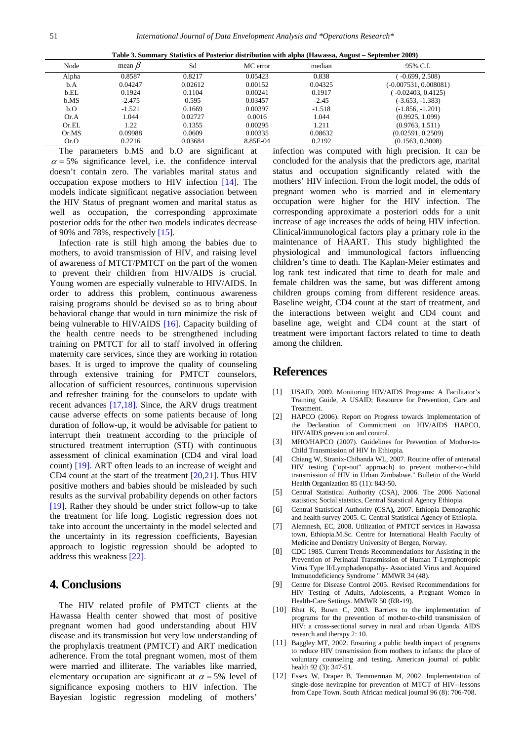| Table 3. Summary Statistics of Posterior distribution with alpha (Hawassa, August – September 2009) |  |  |  |  |
|-----------------------------------------------------------------------------------------------------|--|--|--|--|
|                                                                                                     |  |  |  |  |

<span id="page-2-12"></span>

| Node         | mean $\beta$ | Sd      | MC error                                                                                                                     | median   | 95% C.I.                                      |
|--------------|--------------|---------|------------------------------------------------------------------------------------------------------------------------------|----------|-----------------------------------------------|
| Alpha        | 0.8587       | 0.8217  | 0.05423                                                                                                                      | 0.838    | $-0.699, 2.508$                               |
| b.A          | 0.04247      | 0.02612 | 0.00152                                                                                                                      | 0.04325  | $(-0.007531, 0.008081)$                       |
| b.EL         | 0.1924       | 0.1104  | 0.00241                                                                                                                      | 0.1917   | $-0.02403, 0.4125$                            |
| b.MS         | $-2.475$     | 0.595   | 0.03457                                                                                                                      | $-2.45$  | $(-3.653, -1.383)$                            |
| b.O          | $-1.521$     | 0.1669  | 0.00397                                                                                                                      | $-1.518$ | $(-1.856, -1.201)$                            |
| Or.A         | 1.044        | 0.02727 | 0.0016                                                                                                                       | 1.044    | (0.9925, 1.099)                               |
| Or.EL        | 1.22         | 0.1355  | 0.00295                                                                                                                      | 1.211    | (0.9763, 1.511)                               |
| Or.MS        | 0.09988      | 0.0609  | 0.00335                                                                                                                      | 0.08632  | (0.02591, 0.2509)                             |
| Or.O         | 0.2216       | 0.03684 | 8.85E-04                                                                                                                     | 0.2192   | (0.1563, 0.3008)                              |
| $T^{\prime}$ | 1.3.6        | $\sim$  | $\cdot$ $\sim$<br>$\cdot$ $\cdot$ $\cdot$<br>the contract of the contract of the contract of the contract of the contract of |          | $\cdot$ $\cdot$<br>$\cdots$<br>$\mathbf{r}$ . |

The parameters b.MS and b.O are significant at  $\alpha = 5\%$  significance level, i.e. the confidence interval doesn't contain zero. The variables marital status and occupation expose mothers to HIV infection [\[14\].](#page-3-2) The models indicate significant negative association between the HIV Status of pregnant women and marital status as well as occupation, the corresponding approximate posterior odds for the other two models indicates decrease of 90% and 78%, respectively [\[15\].](#page-3-1)

Infection rate is still high among the babies due to mothers, to avoid transmission of HIV, and raising level of awareness of MTCT/PMTCT on the part of the women to prevent their children from HIV/AIDS is crucial. Young women are especially vulnerable to HIV/AIDS. In order to address this problem, continuous awareness raising programs should be devised so as to bring about behavioral change that would in turn minimize the risk of being vulnerable to HIV/AIDS [\[16\].](#page-3-3) Capacity building of the health centre needs to be strengthened including training on PMTCT for all to staff involved in offering maternity care services, since they are working in rotation bases. It is urged to improve the quality of counseling through extensive training for PMTCT counselors, allocation of sufficient resources, continuous supervision and refresher training for the counselors to update with recent advances [\[17,18\].](#page-3-4) Since, the ARV drugs treatment cause adverse effects on some patients because of long duration of follow-up, it would be advisable for patient to interrupt their treatment according to the principle of structured treatment interruption (STI) with continuous assessment of clinical examination (CD4 and viral load count) [\[19\].](#page-3-5) ART often leads to an increase of weight and CD4 count at the start of the treatment [\[20,21\].](#page-3-6) Thus HIV positive mothers and babies should be misleaded by such results as the survival probability depends on other factors [\[19\].](#page-3-5) Rather they should be under strict follow-up to take the treatment for life long. Logistic regression does not take into account the uncertainty in the model selected and the uncertainty in its regression coefficients, Bayesian approach to logistic regression should be adopted to address this weakness [\[22\].](#page-3-7)

# **4. Conclusions**

The HIV related profile of PMTCT clients at the Hawassa Health center showed that most of positive pregnant women had good understanding about HIV disease and its transmission but very low understanding of the prophylaxis treatment (PMTCT) and ART medication adherence. From the total pregnant women, most of them were married and illiterate. The variables like married, elementary occupation are significant at  $\alpha = 5\%$  level of significance exposing mothers to HIV infection. The Bayesian logistic regression modeling of mothers'

infection was computed with high precision. It can be concluded for the analysis that the predictors age, marital status and occupation significantly related with the mothers' HIV infection. From the logit model, the odds of pregnant women who is married and in elementary occupation were higher for the HIV infection. The corresponding approximate a posteriori odds for a unit increase of age increases the odds of being HIV infection. Clinical/immunological factors play a primary role in the maintenance of HAART. This study highlighted the physiological and immunological factors influencing children's time to death. The Kaplan-Meier estimates and log rank test indicated that time to death for male and female children was the same, but was different among children groups coming from different residence areas. Baseline weight, CD4 count at the start of treatment, and the interactions between weight and CD4 count and baseline age, weight and CD4 count at the start of treatment were important factors related to time to death among the children.

#### **References**

- <span id="page-2-0"></span>[1] USAID, 2009. Monitoring HIV/AIDS Programs: A Facilitator's Training Guide, A USAID; Resource for Prevention, Care and Treatment.
- <span id="page-2-1"></span>[2] HAPCO (2006). Report on Progress towards Implementation of the Declaration of Commitment on HIV/AIDS HAPCO, HIV/AIDS prevention and control.
- <span id="page-2-2"></span>[3] MHO/HAPCO (2007). Guidelines for Prevention of Mother-to-Child Transmission of HIV In Ethiopia.
- <span id="page-2-3"></span>[4] Chiang W, Stranix-Chibanda WL, 2007. Routine offer of antenatal HIV testing ("opt-out" approach) to prevent mother-to-child transmission of HIV in Urban Zimbabwe." Bulletin of the World Health Organization 85 (11): 843-50.
- <span id="page-2-4"></span>[5] Central Statistical Authority (CSA), 2006. The 2006 National statistics; Social statstics, Central Statstical Agency Ethiopia.
- <span id="page-2-5"></span>[6] Central Statistical Authority **(**CSA**),** 2007. Ethiopia Demographic and health survey 2005. C. Central Statistical Agency of Ethiopia.
- <span id="page-2-6"></span>[7] Alemnesh, EC, 2008. Utilization of PMTCT services in Hawassa town, Ethiopia.M.Sc. Centre for International Health Faculty of Medicine and Dentistry University of Bergen, Norway.
- <span id="page-2-7"></span>[8] CDC 1985. Current Trends Recommendations for Assisting in the Prevention of Perinatal Transmission of Human T-Lymphotropic Virus Type II/Lymphadenopathy- Associated Virus and Acquired Immunodeficiency Syndrome " MMWR 34 (48).
- <span id="page-2-8"></span>[9] Centre for Disease Control 2005. Revised Recommendations for HIV Testing of Adults, Adolescents, a Pregnant Women in Health-Care Settings. MMWR 50 (RR-19).
- <span id="page-2-9"></span>[10] Bhat K, Buwn C, 2003. Barriers to the implementation of programs for the prevention of mother-to-child transmission of HIV: a cross-sectional survey in rural and urban Uganda. AIDS research and therapy 2: 10.
- <span id="page-2-10"></span>[11] Baggley MT, 2002. Ensuring a public health impact of programs to reduce HIV transmission from mothers to infants: the place of voluntary counseling and testing. American journal of public health 92 (3): 347-51.
- <span id="page-2-11"></span>[12] Essex W, Draper B, Temmerman M, 2002. Implementation of single-dose nevirapine for prevention of MTCT of HIV--lessons from Cape Town. South African medical journal 96 (8): 706-708.